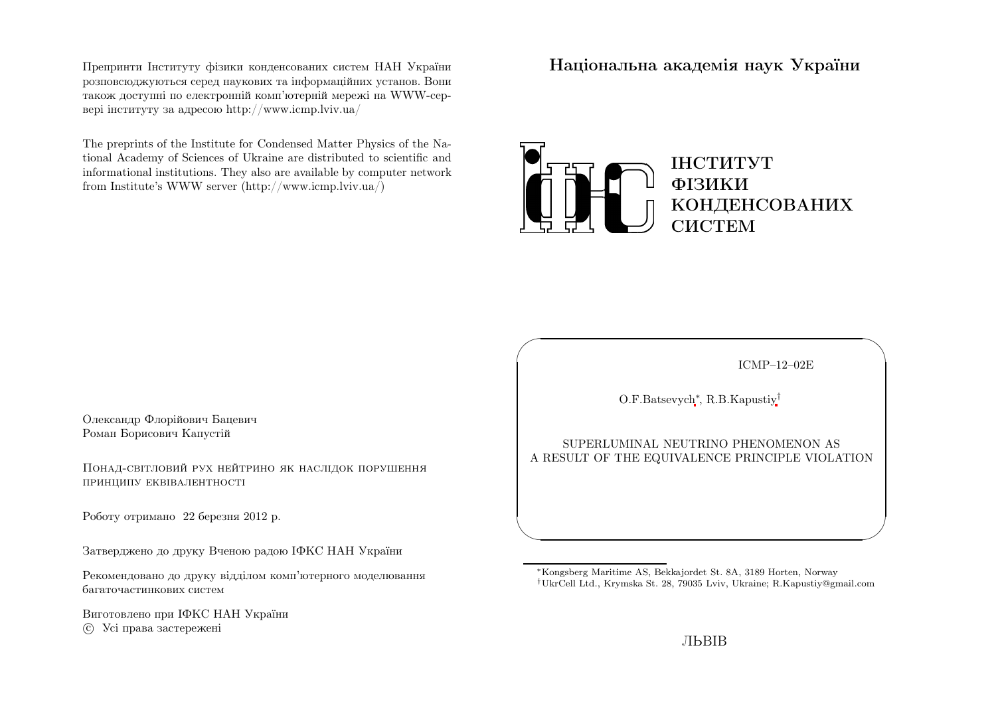Препринти Iнституту фiзики конденсованих систем НАН України розповсюджуються серед наукових та iнформацiйних установ. Вони також доступн<sup>i</sup> по електроннiй комп'ютернiй мереж<sup>i</sup> на WWW-сервер<sup>i</sup> iнституту за адресою http://www.icmp.lviv.ua/

The preprints of the Institute for Condensed Matter Physics of the National Academy of Sciences of Ukraine are distributed to scientific and informational institutions. They also are available by computer networkfrom Institute's WWW server (http://www.icmp.lviv.ua/)

Нацiональна академiя наук України



ICMP–12–02E

✩

 $\overline{\mathcal{S}}$ 

O.F.Batsevych∗, R.B.Kapustiy†

 $\sqrt{2}$ 

 $\setminus$ 

SUPERLUMINAL NEUTRINO PHENOMENON ASA RESULT OF THE EQUIVALENCE PRINCIPLE VIOLATION

Олександр Флорiйович БацевичРоман Борисович Капустiй

Понад-свiтловий рух нейтрино як наслiдок порушенняпринципу еквiвалентностi

Роботу отримано <sup>22</sup> березня <sup>2012</sup> р.

Затверджено до друку Вченою радою IФКС НАН України

Рекомендовано до друку вiддiлом комп'ютерного моделюваннябагаточастинкових систем

Виготовлено при IФКС НАН Україниc Усi права застережен<sup>i</sup>

<sup>∗</sup>Kongsberg Maritime AS, Bekkajordet St. 8A, <sup>3189</sup> Horten, Norway†UkrCell Ltd., Krymska St. 28, <sup>79035</sup> Lviv, Ukraine; R.Kapustiy@gmail.com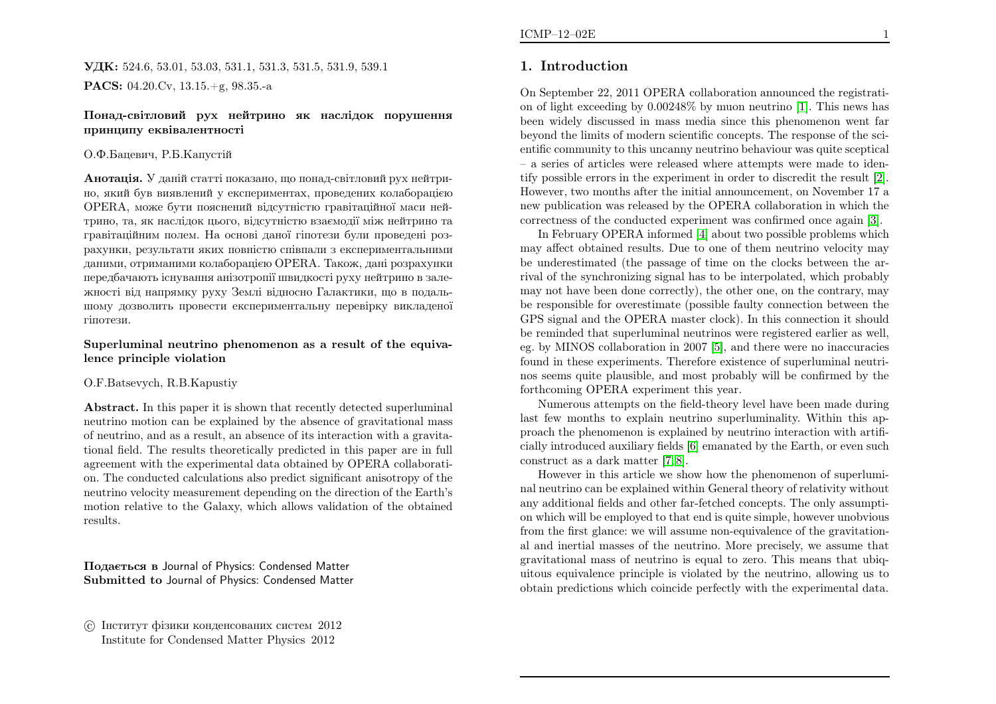**УДК:** 524.6, 53.01, 53.03, 531.1, 531.3, 531.5, 531.9, 539.1  $\mathbf{PACS:}\; 04.20.\mathrm{Cv},\, 13.15.+{\rm g},\, 98.35.-{\rm a}$ 

### Понад-свiтловий рух нейтрино як наслiдок порушенняпринципу еквiвалентностi

#### О.Ф.Бацевич, Р.Б.Капустiй

 ${\bf A}$ нотація. У даній статті показано, що понад-світловий рух нейтрино, який був виявлений <sup>у</sup> експериментах, проведених колаборацiєю OPERA, може бути пояснений вiдсутнiстю гравiтацiйної маси нейтрино, та, як наслiдок цього, вiдсутнiстю взаємодiї мiж нейтрино та гравiтацiйним полем. На основi даної гiпотези були проведен<sup>i</sup> розрахунки, результати яких повнiстю спiвпали <sup>з</sup> експериментальними даними, отриманими колаборацiєю OPERA. Також, данi розрахунки передбачають iснування анiзотропiї швидкостi руху нейтрино <sup>в</sup> залежностi вiд напрямку руху Землi вiдносно Галактики, що <sup>в</sup> подальшому дозволить провести експериментальну перевiрку викладеної гiпотези.

### Superluminal neutrino <sup>p</sup>henomenon as <sup>a</sup> result of the equivalence principle violation

### O.F.Batsevych, R.B.Kapustiy

Abstract. In this paper it is shown that recently detected superluminal neutrino motion can be explained by the absence of gravitational mass of neutrino, and as <sup>a</sup> result, an absence of its interaction with <sup>a</sup> gravitational field. The results theoretically predicted in this paper are in full agreement with the experimental data obtained by OPERA collaboration. The conducted calculations also predict significant anisotropy of the neutrino velocity measurement depending on the direction of the Earth's motion relative to the Galaxy, which allows validation of the obtainedresults.

Подається <sup>в</sup> Journal of Physics: Condensed Matter Submitted to Journal of Physics: Condensed Matter

# 1. Introduction

On September 22, <sup>2011</sup> OPERA collaboration announced the registration of light exceeding by 0.00248% by muon neutrino [\[1\]](#page-6-0). This news has been widely discussed in mass media since this <sup>p</sup>henomenon went far beyond the limits of modern scientific concepts. The response of the scientific community to this uncanny neutrino behaviour was quite sceptical – <sup>a</sup> series of articles were released where attempts were made to identify possible errors in the experiment in order to discredit the result [\[2\]](#page-6-1). However, two months after the initial announcement, on November <sup>17</sup> <sup>a</sup> new publication was released by the OPERA collaboration in which thecorrectness of the conducted experiment was confirmed once again [\[3\]](#page-6-2).

In February OPERA informed [\[4\]](#page-6-3) about two possible problems which may affect obtained results. Due to one of them neutrino velocity may be underestimated (the passage of time on the clocks between the arrival of the synchronizing signal has to be interpolated, which probably may not have been done correctly), the other one, on the contrary, may be responsible for overestimate (possible faulty connection between the GPS signal and the OPERA master clock). In this connection it should be reminded that superluminal neutrinos were registered earlier as well, eg. by MINOS collaboration in <sup>2007</sup> [\[5\]](#page-6-4), and there were no inaccuracies found in these experiments. Therefore existence of superluminal neutrinos seems quite <sup>p</sup>lausible, and most probably will be confirmed by theforthcoming OPERA experiment this year.

Numerous attempts on the field-theory level have been made during last few months to explain neutrino superluminality. Within this approac<sup>h</sup> the <sup>p</sup>henomenon is explained by neutrino interaction with artificially introduced auxiliary fields [\[6\]](#page-6-5) emanated by the Earth, or even suchconstruct as <sup>a</sup> dark matter [\[7,](#page-6-6) [8\]](#page-6-7).

However in this article we show how the <sup>p</sup>henomenon of superluminal neutrino can be explained within General theory of relativity without any additional fields and other far-fetched concepts. The only assumption which will be employed to that end is quite simple, however unobvious from the first <sup>g</sup>lance: we will assume non-equivalence of the gravitational and inertial masses of the neutrino. More precisely, we assume that gravitational mass of neutrino is equa<sup>l</sup> to zero. This means that ubiquitous equivalence principle is violated by the neutrino, allowing us toobtain predictions which coincide perfectly with the experimental data.

c Iнститут фiзики конденсованих систем <sup>2012</sup>Institute for Condensed Matter Physics <sup>2012</sup>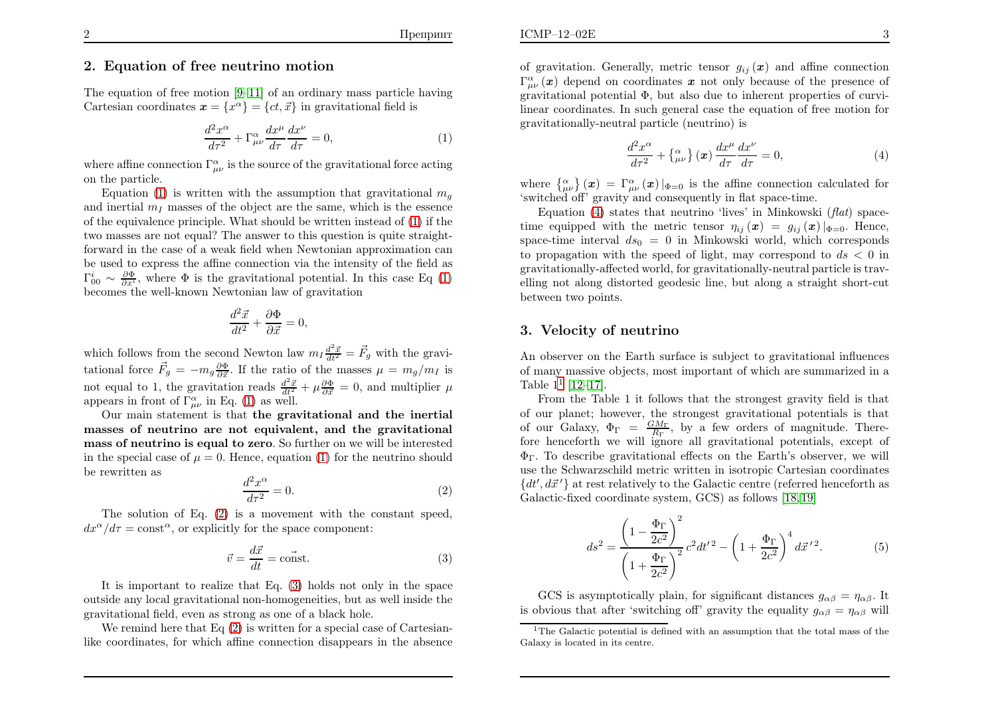# 2. Equation of free neutrino motion

The equation of free motion [\[9](#page-7-0)[–11\]](#page-7-1) of an ordinary mass particle havingCartesian coordinates  $\mathbf{x} = \{x^{\alpha}\} = \{ct, \vec{x}\}\$ in gravitational field is

<span id="page-2-4"></span>
$$
\frac{d^2x^{\alpha}}{d\tau^2} + \Gamma^{\alpha}_{\mu\nu}\frac{dx^{\mu}}{d\tau}\frac{dx^{\nu}}{d\tau} = 0,
$$
\n(1)

where affine connection  $\Gamma^{\alpha}_{\mu\nu}$  is the source of the gravitational force acting on the particle.

Equation [\(1\)](#page-2-0) is written with the assumption that gravitational  $m_g$ and inertial  $m_I$  masses of the object are the same, which is the essence of the equivalence principle. What should be written instead of [\(1\)](#page-2-0) if the two masses are not equal? The answer to this question is quite straightforward in the case of <sup>a</sup> weak field when Newtonian approximation can be used to express the affine connection via the intensity of the field as $\Gamma^i_{00} \sim \frac{\partial \Phi}{\partial x^i}$ , where  $\Phi$  is the gravitational potential. In this case Eq [\(1\)](#page-2-0) becomes the well-known Newtonian law of gravitation

<span id="page-2-2"></span>
$$
\frac{d^2\vec{x}}{dt^2} + \frac{\partial \Phi}{\partial \vec{x}} = 0,
$$

which follows from the second Newton law  $m_I \frac{d^2 \vec{x}}{dt^2} = \vec{F}_g$  with the gravitational force  $\vec{F}_g = -m_g \frac{\partial \Phi}{\partial \vec{x}}$ . If the ratio of the masses  $\mu = m_g/m_I$  is not equal to 1, the gravitation reads  $\frac{d^2\vec{x}}{dt^2} + \mu \frac{\partial \Phi}{\partial \vec{x}} = 0$ , and multiplier  $\mu$ appears in front of  $\Gamma^{\alpha}_{\mu\nu}$  in Eq. [\(1\)](#page-2-0) as well.

 Our main statement is that the gravitational and the inertial masses of neutrino are not equivalent, and the gravitational mass of neutrino is equal to zero. So further on we will be interestedin the special case of  $\mu = 0$ . Hence, equation [\(1\)](#page-2-0) for the neutrino should be rewritten as

$$
\frac{d^2x^{\alpha}}{d\tau^2} = 0.\t\t(2)
$$

 The solution of Eq. [\(2\)](#page-2-1) is <sup>a</sup> movement with the constant speed,  $dx^{\alpha}/d\tau = \text{const}^{\alpha}$ , or explicitly for the space component:

$$
\vec{v} = \frac{d\vec{x}}{dt} = \vec{\text{const}}.\tag{3}
$$

It is important to realize that Eq. [\(3\)](#page-2-2) holds not only in the space outside any local gravitational non-homogeneities, but as well inside thegravitational field, even as strong as one of <sup>a</sup> black hole.

We remind here that  $Eq(2)$  $Eq(2)$  $Eq(2)$  is written for a special case of Cartesianlike coordinates, for which affine connection disappears in the absence

of gravitation. Generally, metric tensor  $g_{ij}(\boldsymbol{x})$  and affine connection  $\Gamma^{\alpha}_{\mu\nu}(\boldsymbol{x})$  depend on coordinates  $\boldsymbol{x}$  not only because of the presence of gravitational potential <sup>Φ</sup>, but also due to inherent properties of curvilinear coordinates. In such genera<sup>l</sup> case the equation of free motion forgravitationally-neutral particle (neutrino) is

<span id="page-2-3"></span><span id="page-2-0"></span>
$$
\frac{d^2x^{\alpha}}{d\tau^2} + {\alpha \choose \mu} \left(\boldsymbol{x}\right) \frac{dx^{\mu}}{d\tau} \frac{dx^{\nu}}{d\tau} = 0, \tag{4}
$$

where  $\begin{cases} \alpha \\ \mu \end{cases}$   $(\mathbf{x}) = \Gamma^{\alpha}_{\mu\nu}(\mathbf{x})|_{\Phi=0}$  is the affine connection calculated for 'switched off' gravity and consequently in flat space-time.

<span id="page-2-5"></span>Equation [\(4\)](#page-2-3) states that neutrino 'lives' in Minkowski (*flat*) spacetime equipped with the metric tensor  $\eta_{ij} (\bm{x}) = g_{ij} (\bm{x})|_{\Phi=0}$ . Hence, space-time interval  $ds_0 = 0$  in Minkowski world, which corresponds to propagation with the speed of light, may correspond to  $ds < 0$  in gravitationally-affected world, for gravitationally-neutral particle is travelling not along distorted geodesic line, but along <sup>a</sup> straight short-cutbetween two points.

## <span id="page-2-1"></span>3. Velocity of neutrino

An observer on the Earth surface is subject to gravitational influences of many massive objects, most important of which are summarized in <sup>a</sup>Table  $1^1$  $1^1$  [\[12–](#page-7-2)[17\]](#page-7-3).

 From the Table <sup>1</sup> it follows that the strongest gravity field is that of our <sup>p</sup>lanet; however, the strongest gravitational potentials is thatof our Galaxy,  $\Phi_{\Gamma} = \frac{GM_{\Gamma}}{R_{\Gamma}}$ , by a few orders of magnitude. There-<br>fore honographs we will ignore all gravitational potentials, execut of fore henceforth we will ignore all gravitational potentials, except of  $\Phi_{\Gamma}$ . To describe gravitational effects on the Earth's observer, we will use the Schwarzschild metric written in isotropic Cartesian coordinates $\{dt', d\vec{x}'\}$  at rest relatively to the Galactic centre (referred henceforth as Galactic-fixed coordinate system, GCS) as follows [\[18](#page-7-4), [19\]](#page-7-5)

$$
ds^{2} = \frac{\left(1 - \frac{\Phi_{\Gamma}}{2c^{2}}\right)^{2}}{\left(1 + \frac{\Phi_{\Gamma}}{2c^{2}}\right)^{2}}c^{2}dt'^{2} - \left(1 + \frac{\Phi_{\Gamma}}{2c^{2}}\right)^{4}d\vec{x}'^{2}.
$$
 (5)

GCS is asymptotically plain, for significant distances  $g_{\alpha\beta} = \eta_{\alpha\beta}$ . It is obvious that after 'switching off' gravity the equality  $g_{\alpha\beta}=\eta_{\alpha\beta}$  will

<sup>&</sup>lt;sup>1</sup>The Galactic potential is defined with an assumption that the total mass of the Galaxy is located in its centre.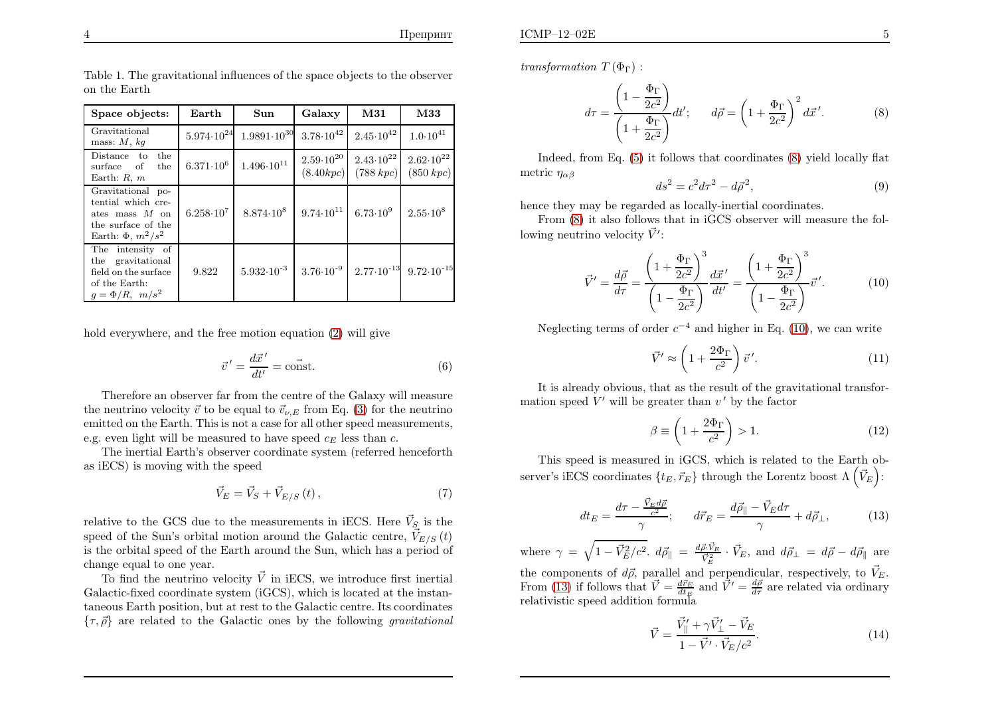| Space objects:                                                                                                 | Earth              | Sun                                                       | Galaxy               | M31                                       | M33                                                              |
|----------------------------------------------------------------------------------------------------------------|--------------------|-----------------------------------------------------------|----------------------|-------------------------------------------|------------------------------------------------------------------|
| Gravitational<br>mass: $M$ , $kq$                                                                              |                    | $5.974 \cdot 10^{24}$ $1.9891 \cdot 10^{30}$              | $3.78 \cdot 10^{42}$ | $2.45 \cdot 10^{42}$                      | $1.0 \cdot 10^{41}$                                              |
| the<br>Distance to<br>the<br>surface of<br>Earth: $R, m$                                                       | $6.371 \cdot 10^6$ | $1.496 \cdot 10^{11}$                                     |                      | $2.59 \cdot 10^{20}$ 2.43 $\cdot 10^{22}$ | $2.62 \cdot 10^{22}$<br>$(8.40 kpc)$ (788 kpc) (850 kpc)         |
| Gravitational po-<br>tential which cre-<br>ates mass $M$ on<br>the surface of the<br>Earth: $\Phi$ , $m^2/s^2$ | $6.258 \cdot 10^7$ | $8.874 \cdot 10^8$ 9.74 $\cdot 10^{11}$ 6.73 $\cdot 10^9$ |                      |                                           | $2.55 \cdot 10^8$                                                |
| The intensity of<br>the gravitational<br>field on the surface<br>of the Earth:<br>$g = \Phi/R$ , $m/s^2$       | 9.822              | $5.932 \cdot 10^{-3}$                                     |                      |                                           | $3.76 \cdot 10^{-9}$ $2.77 \cdot 10^{-13}$ $9.72 \cdot 10^{-15}$ |

Table 1. The gravitational influences of the space objects to the observer on the Earth

hold everywhere, and the free motion equation [\(2\)](#page-2-1) will give

<span id="page-3-4"></span>
$$
\vec{v}' = \frac{d\vec{x}'}{dt'} = \text{const.}\tag{6}
$$

Therefore an observer far from the centre of the Galaxy will measurethe neutrino velocity  $\vec{v}$  to be equal to  $\vec{v}_{\nu,E}$  from Eq. [\(3\)](#page-2-2) for the neutrino emitted on the Earth. This is not <sup>a</sup> case for all other speed measurements, e.g. even light will be measured to have speed  $c_E$  less than c.

The inertial Earth's observer coordinate system (referred henceforth as iECS) is moving with the speed

$$
\vec{V}_E = \vec{V}_S + \vec{V}_{E/S} \left( t \right),\tag{7}
$$

relative to the GCS due to the measurements in iECS. Here  $\vec{V}_S$  is the speed of the Sun's orbital motion around the Galactic centre,  $\vec{V}_{E/S} (t)$ is the orbital speed of the Earth around the Sun, which has <sup>a</sup> period of change equa<sup>l</sup> to one year.

To find the neutrino velocity  $\vec{V}$  in iECS, we introduce first inertial Galactic-fixed coordinate system (iGCS), which is located at the instantaneous Earth position, but at rest to the Galactic centre. Its coordinates $\{\tau, \vec{\rho}\}$  are related to the Galactic ones by the following *gravitational* 

*transformation*  $T(\Phi_{\Gamma})$ :

$$
d\tau = \frac{\left(1 - \frac{\Phi_{\Gamma}}{2c^2}\right)}{\left(1 + \frac{\Phi_{\Gamma}}{2c^2}\right)} dt'; \qquad d\vec{\rho} = \left(1 + \frac{\Phi_{\Gamma}}{2c^2}\right)^2 d\vec{x}'. \tag{8}
$$

Indeed, from Eq. [\(5\)](#page-2-5) it follows that coordinates [\(8\)](#page-3-0) <sup>y</sup>ield locally flatmetric  $\eta_{\alpha\beta}$ 

<span id="page-3-1"></span><span id="page-3-0"></span>
$$
ds^2 = c^2 d\tau^2 - d\vec{\rho}^2,\tag{9}
$$

<span id="page-3-2"></span>hence they may be regarded as locally-inertial coordinates.

<span id="page-3-5"></span>From  $(8)$  it also follows that in iGCS observer will measure the following neutrino velocity  $\vec{V}'$ :

<span id="page-3-3"></span>
$$
\vec{V}' = \frac{d\vec{\rho}}{d\tau} = \frac{\left(1 + \frac{\Phi_{\Gamma}}{2c^2}\right)^3}{\left(1 - \frac{\Phi_{\Gamma}}{2c^2}\right)} \frac{d\vec{x}'}{dt'} = \frac{\left(1 + \frac{\Phi_{\Gamma}}{2c^2}\right)^3}{\left(1 - \frac{\Phi_{\Gamma}}{2c^2}\right)} \vec{v}'.
$$
(10)

Neglecting terms of order  $c^{-4}$  and higher in Eq. [\(10\)](#page-3-1), we can write

$$
\vec{V}' \approx \left(1 + \frac{2\Phi_{\Gamma}}{c^2}\right) \vec{v}'.
$$
\n(11)

It is already obvious, that as the result of the gravitational transformation speed  $V'$  will be greater than  $v'$  by the factor

$$
\beta \equiv \left(1 + \frac{2\Phi_{\Gamma}}{c^2}\right) > 1.
$$
\n(12)

This speed is measured in iGCS, which is related to the Earth observer's iECS coordinates  $\{t_E, \vec{r}_E\}$  through the Lorentz boost  $\Lambda\left(\vec{V}_E\right)$ :

$$
dt_E = \frac{d\tau - \frac{\vec{V}_E d\vec{\rho}}{c^2}}{\gamma}; \qquad d\vec{r}_E = \frac{d\vec{\rho}_{\parallel} - \vec{V}_E d\tau}{\gamma} + d\vec{\rho}_{\perp}, \tag{13}
$$

where  $\gamma = \sqrt{1 - \vec{V}_{E}^{2}/c}$ the components of  $d\vec{\rho}$ , parallel and perpendicular, respectively, to  $\vec{V}_E$ .<br>From [\(13\)](#page-3-2) if follows that  $\vec{V} = \frac{d\vec{r}_E}{dt_E}$  and  $\vec{V}' = \frac{d\vec{\rho}}{dt}$  are related via ordinary<br>relativistic speed addition formula <sup>2</sup>.  $d\vec{\rho}_{\parallel} = \frac{d\vec{\rho} \cdot \vec{V}_E}{\vec{V}_E^2} \cdot \vec{V}_E$ , and  $d\vec{\rho}_{\perp} = d\vec{\rho} - d\vec{\rho}_{\parallel}$  are relativistic speed addition formula

$$
\vec{V} = \frac{\vec{V}_{\parallel}^{\prime} + \gamma \vec{V}_{\perp}^{\prime} - \vec{V}_{E}}{1 - \vec{V}^{\prime} \cdot \vec{V}_{E}/c^{2}}.
$$
\n(14)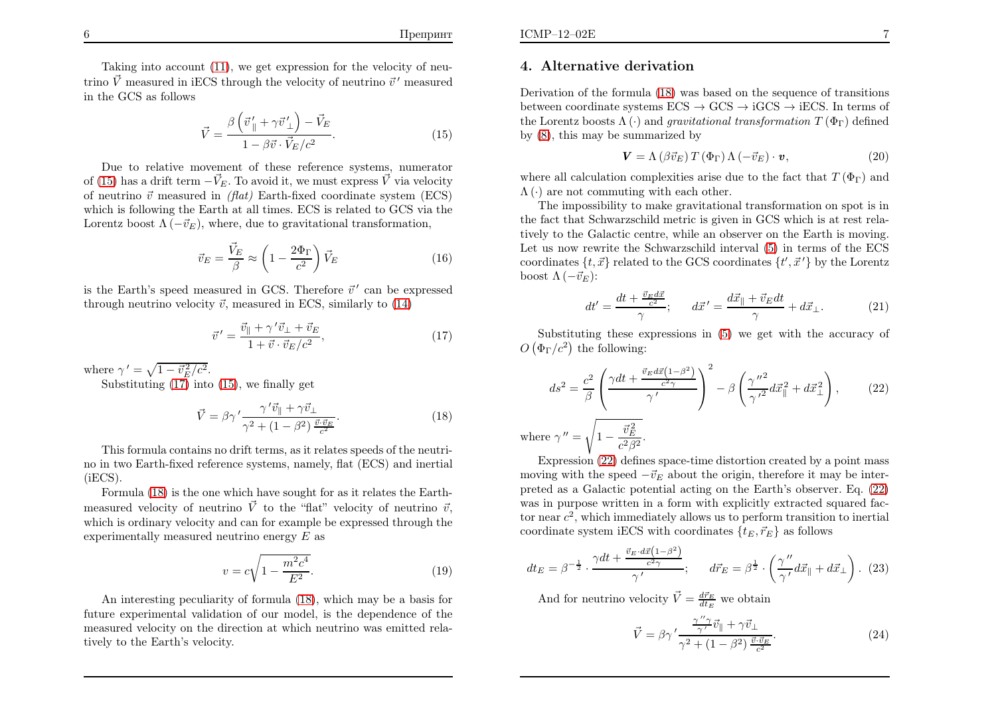Taking into account [\(11\)](#page-3-3), we get expression for the velocity of neutrino $\vec{V}$  measured in iECS through the velocity of neutrino  $\vec{v}^{\,\prime}$  measured in the GCS as follows

$$
\vec{V} = \frac{\beta \left(\vec{v}_{\parallel}^{\prime} + \gamma \vec{v}_{\perp}^{\prime}\right) - \vec{V}_{E}}{1 - \beta \vec{v} \cdot \vec{V}_{E}/c^{2}}.
$$
\n(15)

Due to relative movement of these reference systems, numeratorof [\(15\)](#page-4-0) has a drift term  $-\vec{V}_{E}$ . To avoid it, we must express  $\vec{V}$  via velocity of neutrino  $\vec{v}$  measured in *(flat)* Earth-fixed coordinate system (ECS) which is following the Earth at all times. ECS is related to GCS via theLorentz boost  $\Lambda(-\vec{v}_E)$ , where, due to gravitational transformation,

<span id="page-4-4"></span>
$$
\vec{v}_E = \frac{\vec{V}_E}{\beta} \approx \left(1 - \frac{2\Phi_\Gamma}{c^2}\right)\vec{V}_E
$$
\n(16)

is the Earth's speed measured in GCS. Therefore  $\vec{v}'$  can be expressed through neutrino velocity  $\vec{v}$ , measured in ECS, similarly to  $(14)$ 

$$
\vec{v}' = \frac{\vec{v}_{\parallel} + \gamma' \vec{v}_{\perp} + \vec{v}_{E}}{1 + \vec{v} \cdot \vec{v}_{E}/c^2},\tag{17}
$$

where  $\gamma' = \sqrt{1 - \vec{v}_E^2/c^2}$ .

Substituting [\(17\)](#page-4-1) into [\(15\)](#page-4-0), we finally get

$$
\vec{V} = \beta \gamma' \frac{\gamma' \vec{v}_{\parallel} + \gamma \vec{v}_{\perp}}{\gamma^2 + (1 - \beta^2) \frac{\vec{v} \cdot \vec{v}_{E}}{c^2}}.
$$
\n(18)

This formula contains no drift terms, as it relates speeds of the neutrino in two Earth-fixed reference systems, namely, flat (ECS) and inertial (iECS).

 Formula [\(18\)](#page-4-2) is the one which have sought for as it relates the Earthmeasured velocity of neutrino  $\vec{V}$  to the "flat" velocity of neutrino  $\vec{v}$ , which is ordinary velocity and can for example be expressed through theexperimentally measured neutrino energy  $E$  as

$$
v = c\sqrt{1 - \frac{m^2 c^4}{E^2}}.
$$
\n(19)

An interesting peculiarity of formula [\(18\)](#page-4-2), which may be <sup>a</sup> basis for future experimental validation of our model, is the dependence of the measured velocity on the direction at which neutrino was emitted relatively to the Earth's velocity.

# 4. Alternative derivation

Derivation of the formula [\(18\)](#page-4-2) was based on the sequence of transitionsbetween coordinate systems  $\text{ECS} \to \text{GCS} \to \text{iGCS} \to \text{iECS}$ . In terms of<br>the Lorentz boosts  $\Lambda$  (c) and *exavitational transformation*  $T(\Phi_{\text{D}})$  defined the Lorentz boosts  $\Lambda(\cdot)$  and *gravitational transformation*  $T(\Phi_{\Gamma})$  defined by [\(8](#page-3-0)), this may be summarized by

<span id="page-4-0"></span>
$$
\mathbf{V} = \Lambda \left( \beta \vec{v}_E \right) T \left( \Phi_\Gamma \right) \Lambda \left( -\vec{v}_E \right) \cdot \mathbf{v},\tag{20}
$$

<span id="page-4-3"></span>where all calculation complexities arise due to the fact that  $T(\Phi_{\Gamma})$  and  $\Lambda(\cdot)$  are not commuting with each other.

<span id="page-4-2"></span>The impossibility to make gravitational transformation on spot is in the fact that Schwarzschild metric is <sup>g</sup>iven in GCS which is at rest relatively to the Galactic centre, while an observer on the Earth is moving. Let us now rewrite the Schwarzschild interval [\(5\)](#page-2-5) in terms of the ECScoordinates  $\{t, \vec{x}\}$  related to the GCS coordinates  $\{t', \vec{x}'\}$  by the Lorentz boost  $\Lambda(-\vec{v}_E)$ :

<span id="page-4-1"></span>
$$
dt' = \frac{dt + \frac{\vec{v}_E d\vec{x}}{c^2}}{\gamma}; \qquad d\vec{x}' = \frac{d\vec{x}_{\parallel} + \vec{v}_E dt}{\gamma} + d\vec{x}_{\perp}.
$$
 (21)

Substituting these expressions in [\(5](#page-2-5)) we get with the accuracy of  $O(\Phi_{\Gamma}/c^2)$  the following:

$$
ds^{2} = \frac{c^{2}}{\beta} \left( \frac{\gamma dt + \frac{\vec{v}_{E} d\vec{x} \left(1 - \beta^{2}\right)}{c^{2} \gamma}}{\gamma'}\right)^{2} - \beta \left(\frac{\gamma''^{2}}{\gamma'^{2}} d\vec{x}_{\parallel}^{2} + d\vec{x}_{\perp}^{2}\right), \qquad (22)
$$
  
where  $\gamma'' = \sqrt{1 - \frac{\vec{v}_{E}^{2}}{c^{2} \beta^{2}}}.$ 

 Expression [\(22\)](#page-4-3) defines space-time distortion created by <sup>a</sup> point massmoving with the speed  $-\vec{v}_E$  about the origin, therefore it may be inter preted as <sup>a</sup> Galactic potential acting on the Earth's observer. Eq. [\(22\)](#page-4-3) was in purpose written in <sup>a</sup> form with explicitly extracted squared factor near  $c^2$ , which immediately allows us to perform transition to inertial coordinate system iECS with coordinates  $\{t_E, \vec{r}_E\}$  as follows

$$
dt_E = \beta^{-\frac{1}{2}} \cdot \frac{\gamma dt + \frac{\vec{v}_E \cdot d\vec{x} \left(1 - \beta^2\right)}{c^2 \gamma}}{\gamma'}, \qquad d\vec{r}_E = \beta^{\frac{1}{2}} \cdot \left(\frac{\gamma''}{\gamma'} d\vec{x}_{\parallel} + d\vec{x}_{\perp}\right). \tag{23}
$$

And for neutrino velocity  $\vec{V} = \frac{d\vec{r}_E}{dt_E}$  we obtain

$$
\vec{V} = \beta \gamma' \frac{\frac{\gamma'' \gamma}{\gamma'} \vec{v}_{\parallel} + \gamma \vec{v}_{\perp}}{\gamma^2 + (1 - \beta^2) \frac{\vec{v} \cdot \vec{v}_{E}}{c^2}}.
$$
\n(24)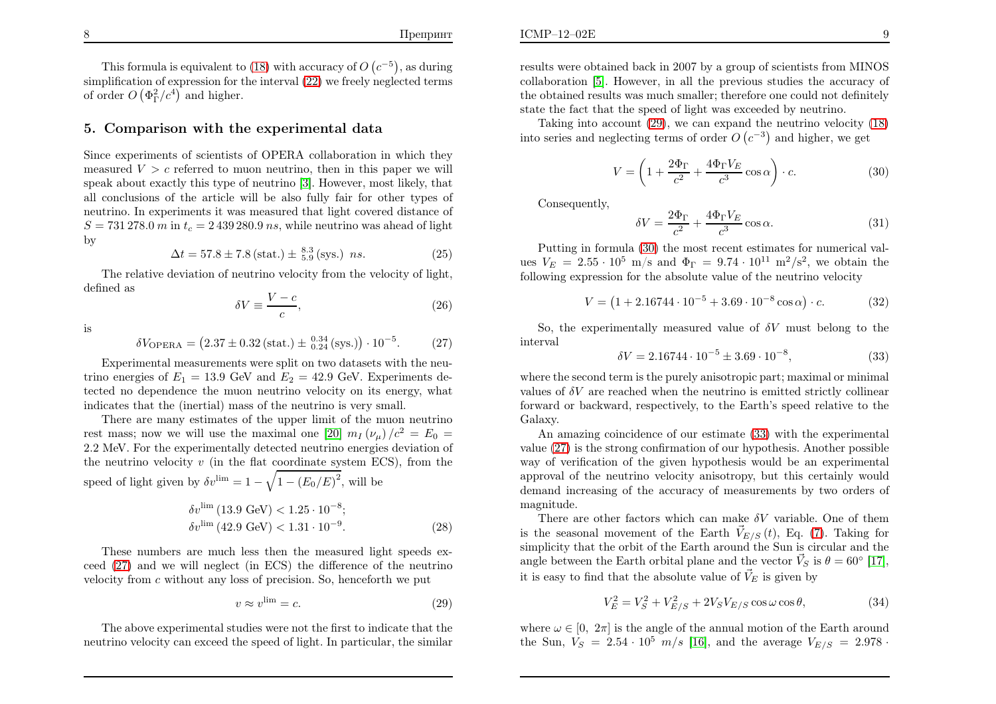This formula is equivalent to [\(18\)](#page-4-2) with accuracy of  $O$   $(c^{-5})$ , as during simplification of expression for the interval  $(22)$  we freely neglected terms of order  $O(\Phi_{\Gamma}^2/c^4)$  and higher.

### 5. Comparison with the experimental data

Since experiments of scientists of OPERA collaboration in which theymeasured  $V > c$  referred to muon neutrino, then in this paper we will spea<sup>k</sup> about exactly this type of neutrino [\[3\]](#page-6-2). However, most likely, that all conclusions of the article will be also fully fair for other types of neutrino. In experiments it was measured that light covered distance of  $S = 731\,278.0\ m$  in  $t_c = 2\,439\,280.9\ ns$ , while neutrino was ahead of light by

$$
\Delta t = 57.8 \pm 7.8 \text{ (stat.)} \pm \frac{8.3}{5.9} \text{ (sys.)} \quad ns. \tag{25}
$$

The relative deviation of neutrino velocity from the velocity of light, defined as

 $\lambda$ 

<span id="page-5-1"></span>
$$
W \equiv \frac{V - c}{c},\tag{26}
$$

is

$$
\delta V_{\text{OPERA}} = (2.37 \pm 0.32 \, (\text{stat.}) \pm \, ^{0.34}_{0.24} \, (\text{sys.}) ) \cdot 10^{-5}. \tag{27}
$$

Experimental measurements were split on two datasets with the neutrino energies of  $E_1 = 13.9$  GeV and  $E_2 = 42.9$  GeV. Experiments detected no dependence the muon neutrino velocity on its energy, whatindicates that the (inertial) mass of the neutrino is very small.

There are many estimates of the upper limit of the muon neutrinorest mass; now we will use the maximal one [\[20\]](#page-7-6)  $m_I(\nu_\mu)/c^2 = E_0 =$  2.2 MeV. For the experimentally detected neutrino energies deviation of the neutrino velocity  $v$  (in the flat coordinate system ECS), from the speed of light given by  $\delta v^{\text{lim}} = 1 - \sqrt{1 - (E_0/E)^2}$ , will be

$$
\delta v^{\text{lim}} (13.9 \text{ GeV}) < 1.25 \cdot 10^{-8};
$$
\n
$$
\delta v^{\text{lim}} (42.9 \text{ GeV}) < 1.31 \cdot 10^{-9}. \tag{28}
$$

These numbers are much less then the measured light speeds ex ceed [\(27\)](#page-5-0) and we will neglect (in ECS) the difference of the neutrinovelocity from  $c$  without any loss of precision. So, henceforth we put

$$
v \approx v^{\lim} = c. \tag{29}
$$

The above experimental studies were not the first to indicate that the neutrino velocity can exceed the speed of light. In particular, the similar results were obtained back in <sup>2007</sup> by <sup>a</sup> group of scientists from MINOS collaboration [\[5\]](#page-6-4). However, in all the previous studies the accuracy of the obtained results was much smaller; therefore one could not definitelystate the fact that the speed of light was exceeded by neutrino.

Taking into account [\(29\)](#page-5-1), we can expand the neutrino velocity [\(18\)](#page-4-2)into series and neglecting terms of order  $O\left(c^{-3}\right)$  and higher, we get

$$
V = \left(1 + \frac{2\Phi_{\Gamma}}{c^2} + \frac{4\Phi_{\Gamma}V_E}{c^3}\cos\alpha\right) \cdot c.
$$
 (30)

<span id="page-5-0"></span>Consequently,

<span id="page-5-2"></span>
$$
\delta V = \frac{2\Phi_{\Gamma}}{c^2} + \frac{4\Phi_{\Gamma} V_E}{c^3} \cos \alpha.
$$
 (31)

<span id="page-5-3"></span>Putting in formula [\(30\)](#page-5-2) the most recent estimates for numerical values  $V_E = 2.55 \cdot 10^5$  m/s and  $\Phi_{\Gamma} = 9.74 \cdot 10^{11}$  m<sup>2</sup>/s<sup>2</sup>, we obtain the following expression for the absolute value of the neutrino velocity

$$
V = (1 + 2.16744 \cdot 10^{-5} + 3.69 \cdot 10^{-8} \cos \alpha) \cdot c.
$$
 (32)

So, the experimentally measured value of  $\delta V$  must belong to the interval

$$
\delta V = 2.16744 \cdot 10^{-5} \pm 3.69 \cdot 10^{-8},\tag{33}
$$

where the second term is the purely anisotropic part; maximal or minimal values of  $\delta V$  are reached when the neutrino is emitted strictly collinear forward or backward, respectively, to the Earth's speed relative to theGalaxy.

An amazing coincidence of our estimate ([33\)](#page-5-3) with the experimental value [\(27\)](#page-5-0) is the strong confirmation of our hypothesis. Another possible way of verification of the <sup>g</sup>iven hypothesis would be an experimental approva<sup>l</sup> of the neutrino velocity anisotropy, but this certainly would demand increasing of the accuracy of measurements by two orders of magnitude.

There are other factors which can make  $\delta V$  variable. One of them is the seasonal movement of the Earth  $\vec{V}_{E/S} (t)$ , Eq. [\(7\)](#page-3-5). Taking for simplicity that the orbit of the Earth around the Sun is circular and theangle between the Earth orbital plane and the vector  $\vec{V}_S$  is  $\theta = 60^{\circ}$  [\[17\]](#page-7-3), it is easy to find that the absolute value of  $\vec{V}_E$  is given by

$$
V_E^2 = V_S^2 + V_{E/S}^2 + 2V_S V_{E/S} \cos \omega \cos \theta, \tag{34}
$$

where  $\omega \in [0, 2\pi]$  is the angle of the annual motion of the Earth around the Sun,  $V_S = 2.54 \cdot 10^5 \, m/s$  [\[16\]](#page-7-7), and the average  $V_{E/S} = 2.978 \cdot$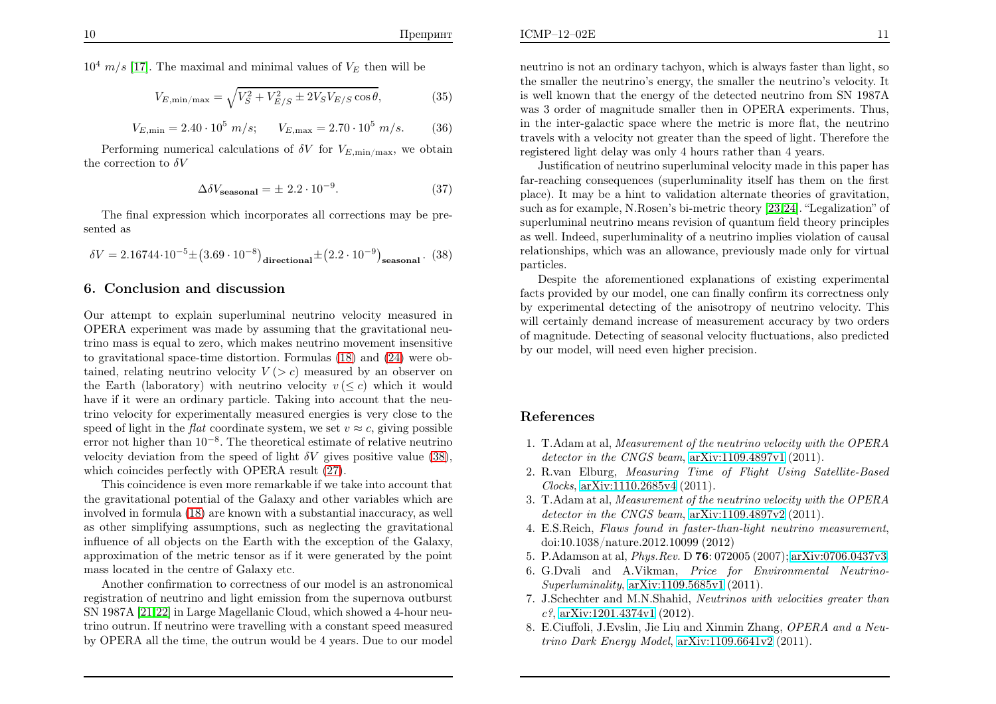$10^4$  m/s [\[17\]](#page-7-3). The maximal and minimal values of  $V_E$  then will be

$$
V_{E,\min/\max} = \sqrt{V_S^2 + V_{E/S}^2 \pm 2V_S V_{E/S} \cos \theta},
$$
 (35)

$$
V_{E,\min} = 2.40 \cdot 10^5 \ m/s; \qquad V_{E,\max} = 2.70 \cdot 10^5 \ m/s. \tag{36}
$$

Performing numerical calculations of  $\delta V$  for  $V_{E,\text{min/max}}$ , we obtain the correction to  $\delta V$ 

<span id="page-6-7"></span><span id="page-6-6"></span>
$$
\Delta \delta V_{\text{seasonal}} = \pm 2.2 \cdot 10^{-9}.
$$
 (37)

The final expression which incorporates all corrections may be presented as

$$
\delta V = 2.16744 \cdot 10^{-5} \pm (3.69 \cdot 10^{-8})_{\text{directional}} \pm (2.2 \cdot 10^{-9})_{\text{seasonal}}. (38)
$$

### 6. Conclusion and discussion

Our attempt to explain superluminal neutrino velocity measured in OPERA experiment was made by assuming that the gravitational neutrino mass is equa<sup>l</sup> to zero, which makes neutrino movement insensitive to gravitational space-time distortion. Formulas [\(18\)](#page-4-2) and [\(24\)](#page-4-4) were obtained, relating neutrino velocity  $V(z)$  measured by an observer on the Earth (laboratory) with neutrino velocity  $v \leq c$ ) which it would have if it were an ordinary particle. Taking into account that the neutrino velocity for experimentally measured energies is very close to thespeed of light in the *flat* coordinate system, we set  $v \approx c$ , giving possible error not higher than  $10^{-8}$ . The theoretical estimate of relative neutrino velocity deviation from the speed of light  $\delta V$  gives positive value [\(38\)](#page-6-8), which coincides perfectly with OPERA result [\(27\)](#page-5-0).

This coincidence is even more remarkable if we take into account that the gravitational potential of the Galaxy and other variables which are involved in formula [\(18\)](#page-4-2) are known with <sup>a</sup> substantial inaccuracy, as well as other simplifying assumptions, such as neglecting the gravitational influence of all objects on the Earth with the exception of the Galaxy, approximation of the metric tensor as if it were generated by the point mass located in the centre of Galaxy etc.

Another confirmation to correctness of our model is an astronomical registration of neutrino and light emission from the supernova outburst SN 1987A [\[21,](#page-7-8)[22\]](#page-7-9) in Large Magellanic Cloud, which showed <sup>a</sup> 4-hour neutrino outrun. If neutrino were travelling with <sup>a</sup> constant speed measuredby OPERA all the time, the outrun would be <sup>4</sup> years. Due to our model

neutrino is not an ordinary tachyon, which is always faster than light, so the smaller the neutrino's energy, the smaller the neutrino's velocity. Itis well known that the energy of the detected neutrino from  $SN$  1987A was <sup>3</sup> order of magnitude smaller then in OPERA experiments. Thus, in the inter-galactic space where the metric is more flat, the neutrino travels with <sup>a</sup> velocity not greater than the speed of light. Therefore theregistered light delay was only <sup>4</sup> hours rather than <sup>4</sup> years.

<span id="page-6-8"></span><span id="page-6-5"></span><span id="page-6-4"></span><span id="page-6-3"></span><span id="page-6-2"></span><span id="page-6-1"></span><span id="page-6-0"></span>Justification of neutrino superluminal velocity made in this paper has far-reaching consequences (superluminality itself has them on the first <sup>p</sup>lace). It may be <sup>a</sup> hint to validation alternate theories of gravitation, such as for example, N.Rosen's bi-metric theory [\[23](#page-7-10),[24\]](#page-7-11). "Legalization" of superluminal neutrino means revision of quantum field theory principles as well. Indeed, superluminality of <sup>a</sup> neutrino implies violation of causal relationships, which was an allowance, previously made only for virtual particles.

 Despite the aforementioned explanations of existing experimental facts provided by our model, one can finally confirm its correctness only by experimental detecting of the anisotropy of neutrino velocity. This will certainly demand increase of measurement accuracy by two orders of magnitude. Detecting of seasonal velocity fluctuations, also predictedby our model, will need even higher precision.

### References

- 1. T.Adam at al, *Measurement of the neutrino velocity with the OPERAdetector in the CNGS beam*, [arXiv:1109.4897v1](http://arxiv.org/abs/1109.4897v1) (2011).
- 2. R.van Elburg, *Measuring Time of Flight Using Satellite-BasedClocks*, [arXiv:1110.2685v4](http://arxiv.org/abs/1110.2685v4) (2011).
- 3. T.Adam at al, *Measurement of the neutrino velocity with the OPERAdetector in the CNGS beam*, [arXiv:1109.4897v2](http://arxiv.org/abs/1109.4897v2) (2011).
- 4. E.S.Reich, *Flaws found in faster-than-light neutrino measurement*, doi:10.1038/nature.2012.10099 (2012)
- 5. P.Adamson at al, *Phys.Rev.* D <sup>76</sup>: <sup>072005</sup> (2007); [arXiv:0706.0437v3.](http://arxiv.org/abs/0706.0437)
- 6. G.Dvali and A.Vikman, *Price for Environmental Neutrino-Superluminality*, [arXiv:1109.5685v1](http://arxiv.org/abs/1109.5685v1) (2011).
- 7. J.Schechter and M.N.Shahid, *Neutrinos with velocities greater thanc?*, [arXiv:1201.4374v1](http://arxiv.org/abs/1201.4374v1) (2012).
- 8. E.Ciuffoli, J.Evslin, Jie Liu and Xinmin Zhang, *OPERA and <sup>a</sup> Neutrino Dark Energy Model*, [arXiv:1109.6641v2](http://arxiv.org/abs/1109.6641) (2011).